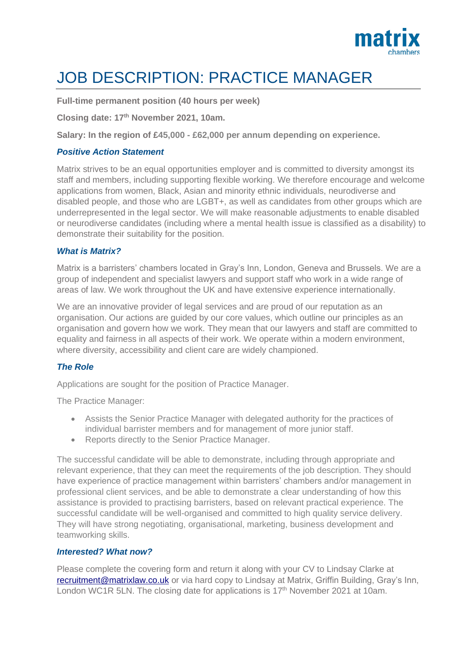

# JOB DESCRIPTION: PRACTICE MANAGER

**Full-time permanent position (40 hours per week)**

**Closing date: 17th November 2021, 10am.**

**Salary: In the region of £45,000 - £62,000 per annum depending on experience.**

## *Positive Action Statement*

Matrix strives to be an equal opportunities employer and is committed to diversity amongst its staff and members, including supporting flexible working. We therefore encourage and welcome applications from women, Black, Asian and minority ethnic individuals, neurodiverse and disabled people, and those who are LGBT+, as well as candidates from other groups which are underrepresented in the legal sector. We will make reasonable adjustments to enable disabled or neurodiverse candidates (including where a mental health issue is classified as a disability) to demonstrate their suitability for the position.

## *What is Matrix?*

Matrix is a barristers' chambers located in Gray's Inn, London, Geneva and Brussels. We are a group of independent and specialist lawyers and support staff who work in a wide range of areas of law. We work throughout the UK and have extensive experience internationally.

We are an innovative provider of legal services and are proud of our reputation as an organisation. Our actions are guided by our core values, which outline our principles as an organisation and govern how we work. They mean that our lawyers and staff are committed to equality and fairness in all aspects of their work. We operate within a modern environment, where diversity, accessibility and client care are widely championed.

# *The Role*

Applications are sought for the position of Practice Manager.

The Practice Manager:

- Assists the Senior Practice Manager with delegated authority for the practices of individual barrister members and for management of more junior staff.
- Reports directly to the Senior Practice Manager.

The successful candidate will be able to demonstrate, including through appropriate and relevant experience, that they can meet the requirements of the job description. They should have experience of practice management within barristers' chambers and/or management in professional client services, and be able to demonstrate a clear understanding of how this assistance is provided to practising barristers, based on relevant practical experience. The successful candidate will be well-organised and committed to high quality service delivery. They will have strong negotiating, organisational, marketing, business development and teamworking skills.

#### *Interested? What now?*

Please complete the covering form and return it along with your CV to Lindsay Clarke at [recruitment@matrixlaw.co.uk](mailto:lindsayclarke@matrixlaw.co.uk) or via hard copy to Lindsay at Matrix, Griffin Building, Gray's Inn, London WC1R 5LN. The closing date for applications is 17<sup>th</sup> November 2021 at 10am.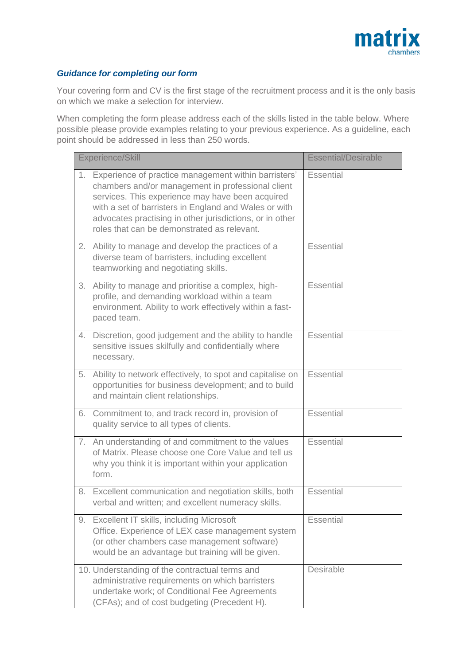

# *Guidance for completing our form*

Your covering form and CV is the first stage of the recruitment process and it is the only basis on which we make a selection for interview.

When completing the form please address each of the skills listed in the table below. Where possible please provide examples relating to your previous experience. As a guideline, each point should be addressed in less than 250 words.

|    | Experience/Skill                                                                                                                                                                                                                                                                                                                  | <b>Essential/Desirable</b> |
|----|-----------------------------------------------------------------------------------------------------------------------------------------------------------------------------------------------------------------------------------------------------------------------------------------------------------------------------------|----------------------------|
| 1. | Experience of practice management within barristers'<br>chambers and/or management in professional client<br>services. This experience may have been acquired<br>with a set of barristers in England and Wales or with<br>advocates practising in other jurisdictions, or in other<br>roles that can be demonstrated as relevant. | <b>Essential</b>           |
|    | 2. Ability to manage and develop the practices of a<br>diverse team of barristers, including excellent<br>teamworking and negotiating skills.                                                                                                                                                                                     | <b>Essential</b>           |
|    | 3. Ability to manage and prioritise a complex, high-<br>profile, and demanding workload within a team<br>environment. Ability to work effectively within a fast-<br>paced team.                                                                                                                                                   | Essential                  |
| 4. | Discretion, good judgement and the ability to handle<br>sensitive issues skilfully and confidentially where<br>necessary.                                                                                                                                                                                                         | Essential                  |
| 5. | Ability to network effectively, to spot and capitalise on<br>opportunities for business development; and to build<br>and maintain client relationships.                                                                                                                                                                           | <b>Essential</b>           |
|    | 6. Commitment to, and track record in, provision of<br>quality service to all types of clients.                                                                                                                                                                                                                                   | Essential                  |
|    | 7. An understanding of and commitment to the values<br>of Matrix. Please choose one Core Value and tell us<br>why you think it is important within your application<br>form.                                                                                                                                                      | Essential                  |
|    | 8. Excellent communication and negotiation skills, both<br>verbal and written; and excellent numeracy skills.                                                                                                                                                                                                                     | <b>Essential</b>           |
| 9. | Excellent IT skills, including Microsoft<br>Office. Experience of LEX case management system<br>(or other chambers case management software)<br>would be an advantage but training will be given.                                                                                                                                 | <b>Essential</b>           |
|    | 10. Understanding of the contractual terms and<br>administrative requirements on which barristers<br>undertake work; of Conditional Fee Agreements<br>(CFAs); and of cost budgeting (Precedent H).                                                                                                                                | Desirable                  |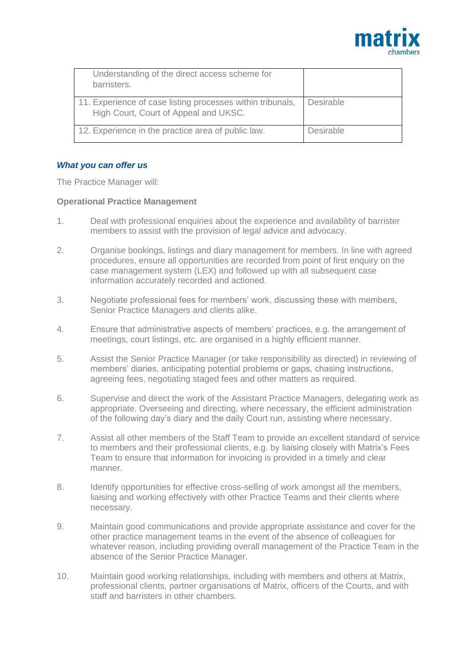

| Understanding of the direct access scheme for<br>barristers.                                        |                  |
|-----------------------------------------------------------------------------------------------------|------------------|
| 11. Experience of case listing processes within tribunals,<br>High Court, Court of Appeal and UKSC. | Desirable        |
| 12. Experience in the practice area of public law.                                                  | <b>Desirable</b> |

## *What you can offer us*

The Practice Manager will:

## **Operational Practice Management**

- 1. Deal with professional enquiries about the experience and availability of barrister members to assist with the provision of legal advice and advocacy.
- 2. Organise bookings, listings and diary management for members. In line with agreed procedures, ensure all opportunities are recorded from point of first enquiry on the case management system (LEX) and followed up with all subsequent case information accurately recorded and actioned.
- 3. Negotiate professional fees for members' work, discussing these with members, Senior Practice Managers and clients alike.
- 4. Ensure that administrative aspects of members' practices, e.g. the arrangement of meetings, court listings, etc. are organised in a highly efficient manner.
- 5. Assist the Senior Practice Manager (or take responsibility as directed) in reviewing of members' diaries, anticipating potential problems or gaps, chasing instructions, agreeing fees, negotiating staged fees and other matters as required.
- 6. Supervise and direct the work of the Assistant Practice Managers, delegating work as appropriate. Overseeing and directing, where necessary, the efficient administration of the following day's diary and the daily Court run, assisting where necessary.
- 7. Assist all other members of the Staff Team to provide an excellent standard of service to members and their professional clients, e.g. by liaising closely with Matrix's Fees Team to ensure that information for invoicing is provided in a timely and clear manner.
- 8. Identify opportunities for effective cross-selling of work amongst all the members, liaising and working effectively with other Practice Teams and their clients where necessary.
- 9. Maintain good communications and provide appropriate assistance and cover for the other practice management teams in the event of the absence of colleagues for whatever reason, including providing overall management of the Practice Team in the absence of the Senior Practice Manager.
- 10. Maintain good working relationships, including with members and others at Matrix, professional clients, partner organisations of Matrix, officers of the Courts, and with staff and barristers in other chambers.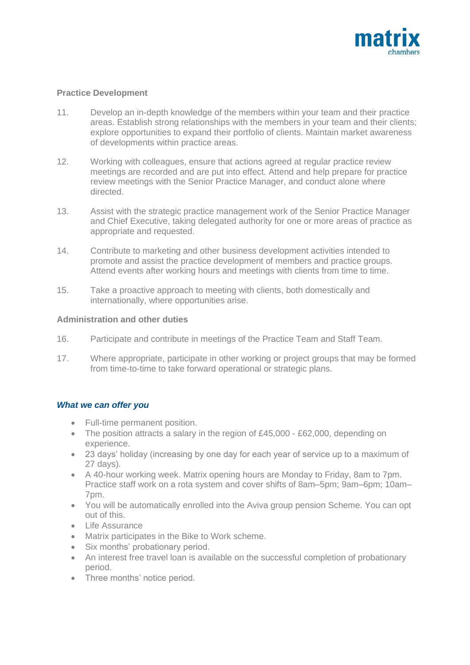

# **Practice Development**

- 11. Develop an in-depth knowledge of the members within your team and their practice areas. Establish strong relationships with the members in your team and their clients; explore opportunities to expand their portfolio of clients. Maintain market awareness of developments within practice areas.
- 12. Working with colleagues, ensure that actions agreed at regular practice review meetings are recorded and are put into effect. Attend and help prepare for practice review meetings with the Senior Practice Manager, and conduct alone where directed.
- 13. Assist with the strategic practice management work of the Senior Practice Manager and Chief Executive, taking delegated authority for one or more areas of practice as appropriate and requested.
- 14. Contribute to marketing and other business development activities intended to promote and assist the practice development of members and practice groups. Attend events after working hours and meetings with clients from time to time.
- 15. Take a proactive approach to meeting with clients, both domestically and internationally, where opportunities arise.

# **Administration and other duties**

- 16. Participate and contribute in meetings of the Practice Team and Staff Team.
- 17. Where appropriate, participate in other working or project groups that may be formed from time-to-time to take forward operational or strategic plans.

# *What we can offer you*

- Full-time permanent position.
- The position attracts a salary in the region of £45,000 £62,000, depending on experience.
- 23 days' holiday (increasing by one day for each year of service up to a maximum of 27 days).
- A 40-hour working week. Matrix opening hours are Monday to Friday, 8am to 7pm. Practice staff work on a rota system and cover shifts of 8am–5pm; 9am–6pm; 10am– 7pm.
- You will be automatically enrolled into the Aviva group pension Scheme. You can opt out of this.
- Life Assurance
- Matrix participates in the Bike to Work scheme.
- Six months' probationary period.
- An interest free travel loan is available on the successful completion of probationary period.
- Three months' notice period.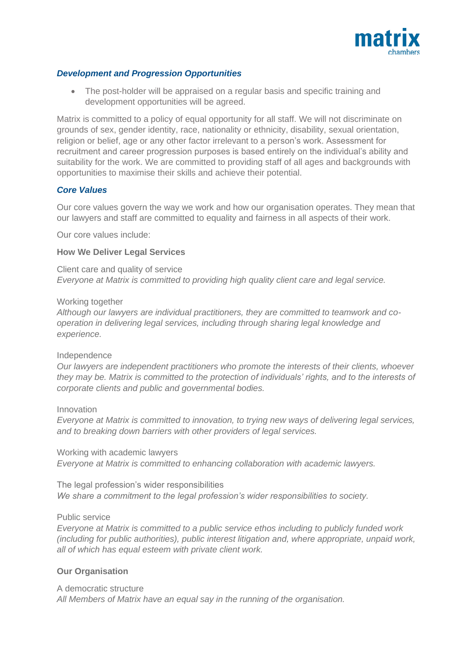

## *Development and Progression Opportunities*

• The post-holder will be appraised on a regular basis and specific training and development opportunities will be agreed.

Matrix is committed to a policy of equal opportunity for all staff. We will not discriminate on grounds of sex, gender identity, race, nationality or ethnicity, disability, sexual orientation, religion or belief, age or any other factor irrelevant to a person's work. Assessment for recruitment and career progression purposes is based entirely on the individual's ability and suitability for the work. We are committed to providing staff of all ages and backgrounds with opportunities to maximise their skills and achieve their potential.

## *Core Values*

Our core values govern the way we work and how our organisation operates. They mean that our lawyers and staff are committed to equality and fairness in all aspects of their work.

Our core values include:

#### **How We Deliver Legal Services**

Client care and quality of service *Everyone at Matrix is committed to providing high quality client care and legal service.*

#### Working together

*Although our lawyers are individual practitioners, they are committed to teamwork and cooperation in delivering legal services, including through sharing legal knowledge and experience.*

#### Independence

*Our lawyers are independent practitioners who promote the interests of their clients, whoever they may be. Matrix is committed to the protection of individuals' rights, and to the interests of corporate clients and public and governmental bodies.*

#### Innovation

*Everyone at Matrix is committed to innovation, to trying new ways of delivering legal services, and to breaking down barriers with other providers of legal services.*

Working with academic lawyers *Everyone at Matrix is committed to enhancing collaboration with academic lawyers.*

The legal profession's wider responsibilities *We share a commitment to the legal profession's wider responsibilities to society.*

#### Public service

*Everyone at Matrix is committed to a public service ethos including to publicly funded work (including for public authorities), public interest litigation and, where appropriate, unpaid work, all of which has equal esteem with private client work.*

#### **Our Organisation**

#### A democratic structure

*All Members of Matrix have an equal say in the running of the organisation.*